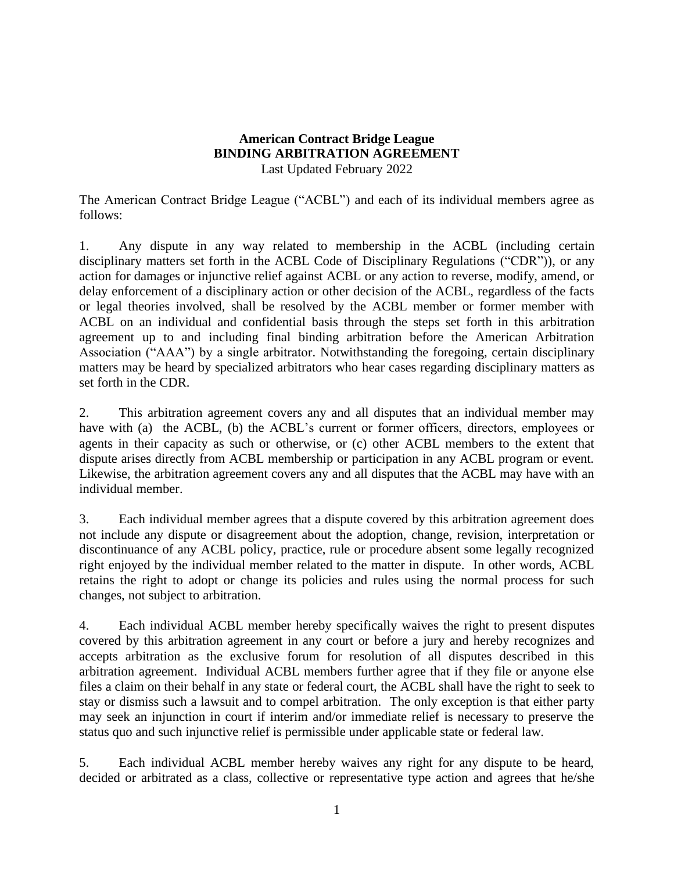## **American Contract Bridge League BINDING ARBITRATION AGREEMENT** Last Updated February 2022

The American Contract Bridge League ("ACBL") and each of its individual members agree as follows:

1. Any dispute in any way related to membership in the ACBL (including certain disciplinary matters set forth in the ACBL Code of Disciplinary Regulations ("CDR")), or any action for damages or injunctive relief against ACBL or any action to reverse, modify, amend, or delay enforcement of a disciplinary action or other decision of the ACBL, regardless of the facts or legal theories involved, shall be resolved by the ACBL member or former member with ACBL on an individual and confidential basis through the steps set forth in this arbitration agreement up to and including final binding arbitration before the American Arbitration Association ("AAA") by a single arbitrator. Notwithstanding the foregoing, certain disciplinary matters may be heard by specialized arbitrators who hear cases regarding disciplinary matters as set forth in the CDR.

2. This arbitration agreement covers any and all disputes that an individual member may have with (a) the ACBL, (b) the ACBL's current or former officers, directors, employees or agents in their capacity as such or otherwise, or (c) other ACBL members to the extent that dispute arises directly from ACBL membership or participation in any ACBL program or event. Likewise, the arbitration agreement covers any and all disputes that the ACBL may have with an individual member.

3. Each individual member agrees that a dispute covered by this arbitration agreement does not include any dispute or disagreement about the adoption, change, revision, interpretation or discontinuance of any ACBL policy, practice, rule or procedure absent some legally recognized right enjoyed by the individual member related to the matter in dispute. In other words, ACBL retains the right to adopt or change its policies and rules using the normal process for such changes, not subject to arbitration.

4. Each individual ACBL member hereby specifically waives the right to present disputes covered by this arbitration agreement in any court or before a jury and hereby recognizes and accepts arbitration as the exclusive forum for resolution of all disputes described in this arbitration agreement. Individual ACBL members further agree that if they file or anyone else files a claim on their behalf in any state or federal court, the ACBL shall have the right to seek to stay or dismiss such a lawsuit and to compel arbitration. The only exception is that either party may seek an injunction in court if interim and/or immediate relief is necessary to preserve the status quo and such injunctive relief is permissible under applicable state or federal law.

5. Each individual ACBL member hereby waives any right for any dispute to be heard, decided or arbitrated as a class, collective or representative type action and agrees that he/she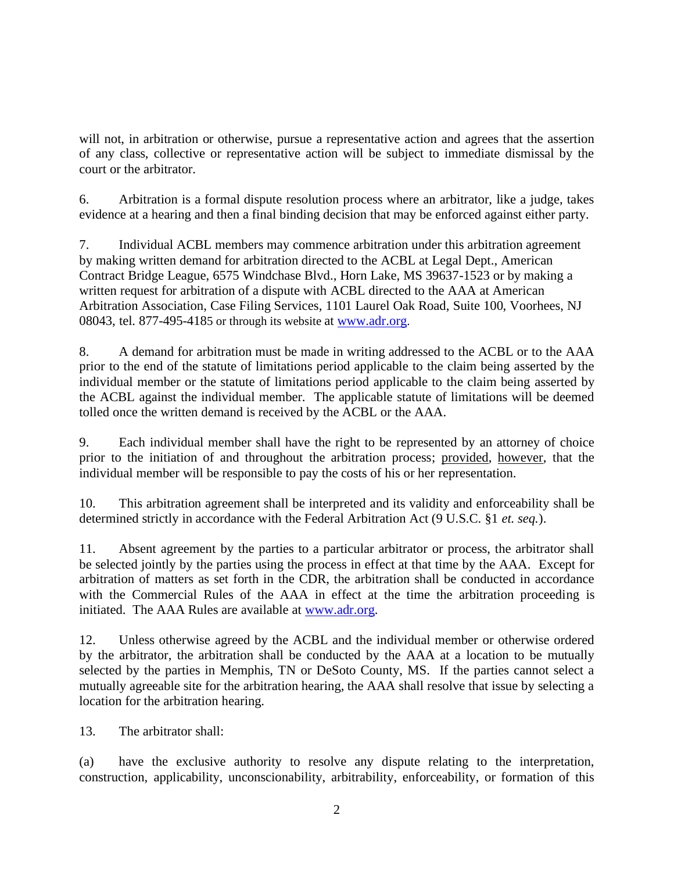will not, in arbitration or otherwise, pursue a representative action and agrees that the assertion of any class, collective or representative action will be subject to immediate dismissal by the court or the arbitrator.

6. Arbitration is a formal dispute resolution process where an arbitrator, like a judge, takes evidence at a hearing and then a final binding decision that may be enforced against either party.

7. Individual ACBL members may commence arbitration under this arbitration agreement by making written demand for arbitration directed to the ACBL at Legal Dept., American Contract Bridge League, 6575 Windchase Blvd., Horn Lake, MS 39637-1523 or by making a written request for arbitration of a dispute with ACBL directed to the AAA at American Arbitration Association, Case Filing Services, 1101 Laurel Oak Road, Suite 100, Voorhees, NJ 08043, tel. 877-495-4185 or through its website at [www.adr.org](http://www.adr.org/).

8. A demand for arbitration must be made in writing addressed to the ACBL or to the AAA prior to the end of the statute of limitations period applicable to the claim being asserted by the individual member or the statute of limitations period applicable to the claim being asserted by the ACBL against the individual member. The applicable statute of limitations will be deemed tolled once the written demand is received by the ACBL or the AAA.

9. Each individual member shall have the right to be represented by an attorney of choice prior to the initiation of and throughout the arbitration process; provided, however, that the individual member will be responsible to pay the costs of his or her representation.

10. This arbitration agreement shall be interpreted and its validity and enforceability shall be determined strictly in accordance with the Federal Arbitration Act (9 U.S.C. §1 *et. seq.*).

11. Absent agreement by the parties to a particular arbitrator or process, the arbitrator shall be selected jointly by the parties using the process in effect at that time by the AAA. Except for arbitration of matters as set forth in the CDR, the arbitration shall be conducted in accordance with the Commercial Rules of the AAA in effect at the time the arbitration proceeding is initiated. The AAA Rules are available at [www.adr.org.](http://www.adr.org/)

12. Unless otherwise agreed by the ACBL and the individual member or otherwise ordered by the arbitrator, the arbitration shall be conducted by the AAA at a location to be mutually selected by the parties in Memphis, TN or DeSoto County, MS. If the parties cannot select a mutually agreeable site for the arbitration hearing, the AAA shall resolve that issue by selecting a location for the arbitration hearing.

13. The arbitrator shall:

(a) have the exclusive authority to resolve any dispute relating to the interpretation, construction, applicability, unconscionability, arbitrability, enforceability, or formation of this